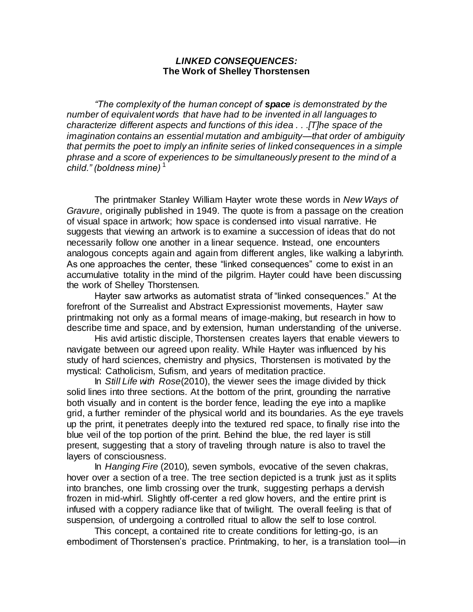## *LINKED CONSEQUENCES:*  **The Work of Shelley Thorstensen**

*"The complexity of the human concept of space is demonstrated by the number of equivalent words that have had to be invented in all languages to characterize different aspects and functions of this idea . . .[T]he space of the imagination contains an essential mutation and ambiguity—that order of ambiguity that permits the poet to imply an infinite series of linked consequences in a simple phrase and a score of experiences to be simultaneously present to the mind of a child." (boldness mine)* <sup>1</sup>

The printmaker Stanley William Hayter wrote these words in *New Ways of Gravure*, originally published in 1949. The quote is from a passage on the creation of visual space in artwork; how space is condensed into visual narrative. He suggests that viewing an artwork is to examine a succession of ideas that do not necessarily follow one another in a linear sequence. Instead, one encounters analogous concepts again and again from different angles, like walking a labyrinth. As one approaches the center, these "linked consequences" come to exist in an accumulative totality in the mind of the pilgrim. Hayter could have been discussing the work of Shelley Thorstensen.

Hayter saw artworks as automatist strata of "linked consequences." At the forefront of the Surrealist and Abstract Expressionist movements, Hayter saw printmaking not only as a formal means of image-making, but research in how to describe time and space, and by extension, human understanding of the universe.

His avid artistic disciple, Thorstensen creates layers that enable viewers to navigate between our agreed upon reality. While Hayter was influenced by his study of hard sciences, chemistry and physics, Thorstensen is motivated by the mystical: Catholicism, Sufism, and years of meditation practice.

In *Still Life with Rose*(2010), the viewer sees the image divided by thick solid lines into three sections. At the bottom of the print, grounding the narrative both visually and in content is the border fence, leading the eye into a maplike grid, a further reminder of the physical world and its boundaries. As the eye travels up the print, it penetrates deeply into the textured red space, to finally rise into the blue veil of the top portion of the print. Behind the blue, the red layer is still present, suggesting that a story of traveling through nature is also to travel the layers of consciousness.

In *Hanging Fire* (2010)*,* seven symbols, evocative of the seven chakras, hover over a section of a tree. The tree section depicted is a trunk just as it splits into branches, one limb crossing over the trunk, suggesting perhaps a dervish frozen in mid-whirl. Slightly off-center a red glow hovers, and the entire print is infused with a coppery radiance like that of twilight. The overall feeling is that of suspension, of undergoing a controlled ritual to allow the self to lose control.

This concept, a contained rite to create conditions for letting-go, is an embodiment of Thorstensen's practice. Printmaking, to her, is a translation tool—in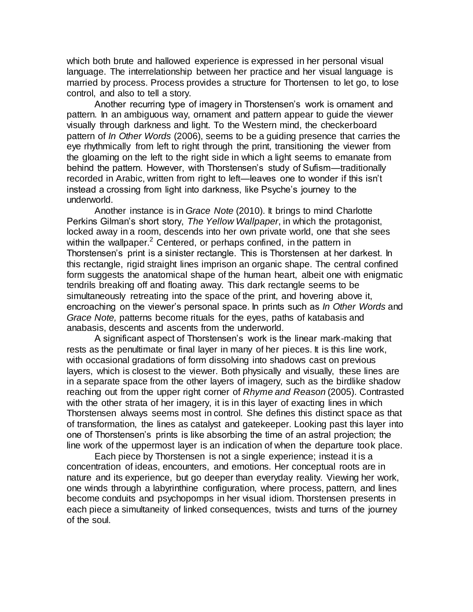which both brute and hallowed experience is expressed in her personal visual language. The interrelationship between her practice and her visual language is married by process. Process provides a structure for Thortensen to let go, to lose control, and also to tell a story.

Another recurring type of imagery in Thorstensen's work is ornament and pattern. In an ambiguous way, ornament and pattern appear to guide the viewer visually through darkness and light. To the Western mind, the checkerboard pattern of *In Other Words* (2006), seems to be a guiding presence that carries the eye rhythmically from left to right through the print, transitioning the viewer from the gloaming on the left to the right side in which a light seems to emanate from behind the pattern. However, with Thorstensen's study of Sufism—traditionally recorded in Arabic, written from right to left—leaves one to wonder if this isn't instead a crossing from light into darkness, like Psyche's journey to the underworld.

Another instance is in *Grace Note* (2010). It brings to mind Charlotte Perkins Gilman's short story, *The Yellow Wallpaper*, in which the protagonist, locked away in a room, descends into her own private world, one that she sees within the wallpaper.<sup>2</sup> Centered, or perhaps confined, in the pattern in Thorstensen's print is a sinister rectangle. This is Thorstensen at her darkest. In this rectangle, rigid straight lines imprison an organic shape. The central confined form suggests the anatomical shape of the human heart, albeit one with enigmatic tendrils breaking off and floating away. This dark rectangle seems to be simultaneously retreating into the space of the print, and hovering above it, encroaching on the viewer's personal space. In prints such as *In Other Words* and *Grace Note,* patterns become rituals for the eyes, paths of katabasis and anabasis, descents and ascents from the underworld.

A significant aspect of Thorstensen's work is the linear mark-making that rests as the penultimate or final layer in many of her pieces. It is this line work, with occasional gradations of form dissolving into shadows cast on previous layers, which is closest to the viewer. Both physically and visually, these lines are in a separate space from the other layers of imagery, such as the birdlike shadow reaching out from the upper right corner of *Rhyme and Reason* (2005). Contrasted with the other strata of her imagery, it is in this layer of exacting lines in which Thorstensen always seems most in control. She defines this distinct space as that of transformation, the lines as catalyst and gatekeeper. Looking past this layer into one of Thorstensen's prints is like absorbing the time of an astral projection; the line work of the uppermost layer is an indication of when the departure took place.

Each piece by Thorstensen is not a single experience; instead it is a concentration of ideas, encounters, and emotions. Her conceptual roots are in nature and its experience, but go deeper than everyday reality. Viewing her work, one winds through a labyrinthine configuration, where process, pattern, and lines become conduits and psychopomps in her visual idiom. Thorstensen presents in each piece a simultaneity of linked consequences, twists and turns of the journey of the soul.